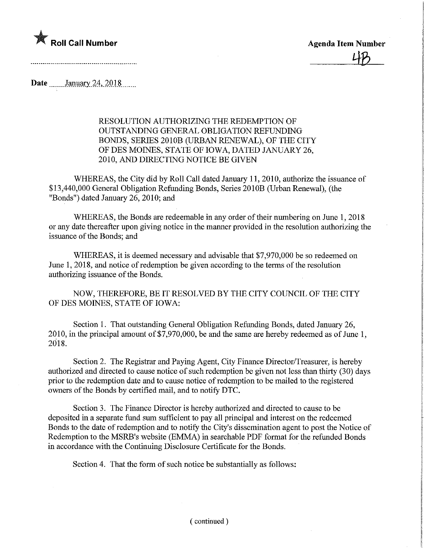

<u>40</u>

Date *January* 24, 2018

RESOLUTION AUTHORIZING THE REDEMPTION OF OUTSTANDING GENERAL OBLIGATION REFUNDING BONDS, SERIES 2010B (URBAN RENEWAL), OF THE CITY OF DES MOINES, STATE OF IOWA, DATED JANUARY 26, 2010, AND DIRECTING NOTICE BE GIVEN

WHEREAS, the City did by Roll Call dated January 11, 2010, authorize the issuance of \$13,440,000 General Obligation Refunding Bonds, Series 2010B (Urban Renewal), (the "Bonds") dated January 26, 2010; and

WHEREAS, the Bonds are redeemable in any order of their numbering on June 1, 2018 or any date thereafter upon giving notice in the manner provided in the resolution authorizing the issuance of the Bonds; and

WHEREAS, it is deemed necessary and advisable that \$7,970,000 be so redeemed on June 1, 2018, and notice of redemption be given according to the terms of the resolution authorizing issuance of the Bonds.

NOW, THEREFORE, BE IT RESOLVED BY THE CITY COUNCIL OF THE CITY OF DES MOINES, STATE OF IOWA:

Section 1. That outstanding General Obligation Refunding Bonds, dated January 26, 2010, in the principal amount of \$7,970,000, be and the same are hereby redeemed as of June 1 , 2018.

Section 2. The Registrar and Paying Agent, City Finance Director/Treasurer, is hereby authorized and directed to cause notice of such redemption be given not less than thirty (30) days prior to the redemption date and to cause notice of redemption to be mailed to the registered owners of the Bonds by certified mail, and to notify DTC.

Section 3. The Finance Director is hereby authorized and directed to cause to be deposited in a separate fund sum sufficient to pay all principal and interest on the redeemed Bonds to the date of redemption and to notify the City's dissemination agent to post the Notice of Redemption to the MSRB's website (EMMA) in searchable PDF format for the refunded Bonds in accordance with the Continuing Disclosure Certificate for the Bonds.

Section 4. That the form of such notice be substantially as follows: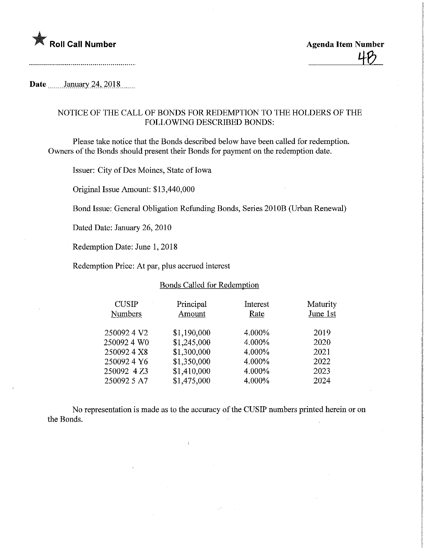

## Date January 24, 2018

## NOTICE OF THE CALL OF BONDS FOR REDEMPTION TO THE HOLDERS OF THE FOLLOWING DESCRIBED BONDS:

Please take notice that the Bonds described below have been called for redemption. Owners of the Bonds should present their Bonds for payment on the redemption date.

Issuer: City of Des Moines, State of Iowa

Original Issue Amount: \$13,440,000

Bond Issue: General Obligation Refunding Bonds, Series 2010B (Urban Renewal)

Dated Date: January 26, 2010

Redemption Date: June 1, 2018

Redemption Price: At par, plus accrued interest

## Bonds Called for Redemption

| <b>CUSIP</b><br><b>Numbers</b> | Principal<br>Amount | Interest<br>Rate | Maturity<br>June 1st |
|--------------------------------|---------------------|------------------|----------------------|
| 2500924 V2                     | \$1,190,000         | 4.000%           | 2019                 |
| 250092 4 W0                    | \$1,245,000         | 4.000%           | 2020                 |
| 2500924X8                      | \$1,300,000         | 4.000%           | 2021                 |
| 2500924Y6                      | \$1,350,000         | 4.000%           | 2022                 |
| 250092 4 Z3                    | \$1,410,000         | 4.000%           | 2023                 |
| 250092 5 A7                    | \$1,475,000         | 4.000%           | 2024                 |

No representation is made as to the accuracy of the CUSIP numbers printed herein or on the Bonds.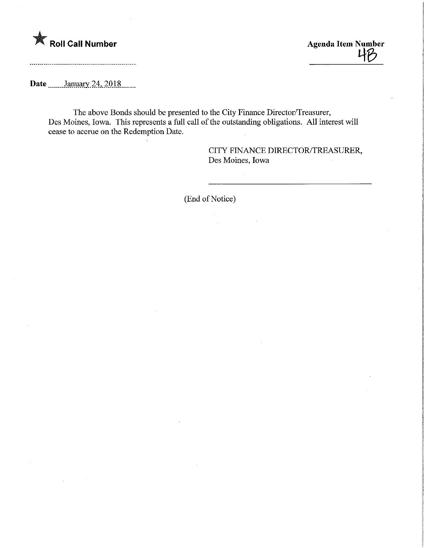

 $\begin{array}{c}\n\text{Roll Call Number} \\
\hline\n\end{array}$ 

Date \_\_\_\_\_\_ January 24, 2018

The above Bonds should be presented to the City Finance Director/Treasurer, Des Moines, Iowa. This represents a full call of the outstanding obligations. All interest will cease to accrue on the Redemption Date.

> CITY FINANCE DIRECTOR/TREASURER, Des Moines, Iowa

(End of Notice)